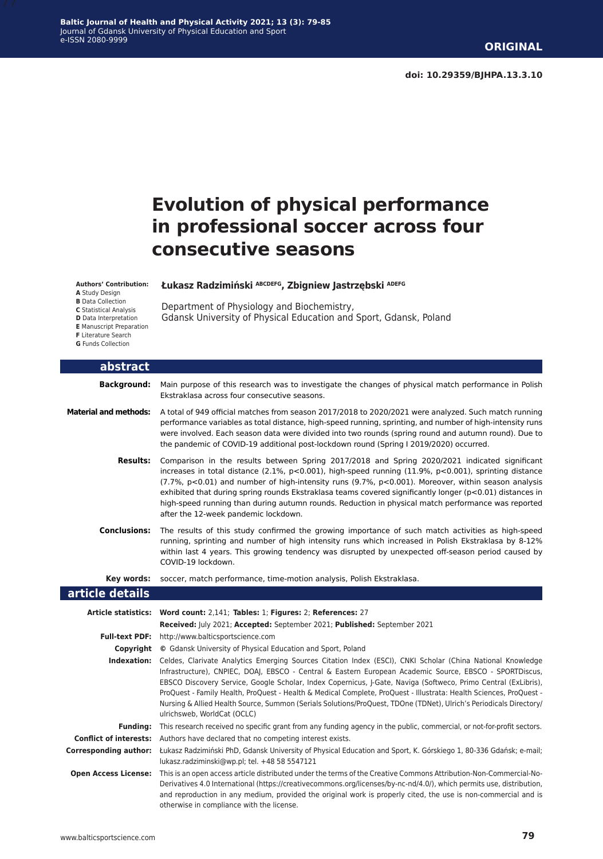# **Evolution of physical performance in professional soccer across four consecutive seasons**

**Authors' Contribution:**

- **A** Study Design
- **B** Data Collection

**C** Statistical Analysis **D** Data Interpretation **E** Manuscript Preparation

**F** Literature Search **G** Funds Collection

Department of Physiology and Biochemistry, Gdansk University of Physical Education and Sport, Gdansk, Poland

**Łukasz Radzimiński ABCDEFG, Zbigniew Jastrzębski ADEFG**

|  |  | abstract |  |
|--|--|----------|--|
|  |  |          |  |

**Background:** Main purpose of this research was to investigate the changes of physical match performance in Polish Ekstraklasa across four consecutive seasons.

- **Material and methods:** A total of 949 official matches from season 2017/2018 to 2020/2021 were analyzed. Such match running performance variables as total distance, high-speed running, sprinting, and number of high-intensity runs were involved. Each season data were divided into two rounds (spring round and autumn round). Due to the pandemic of COVID-19 additional post-lockdown round (Spring I 2019/2020) occurred.
	- **Results:** Comparison in the results between Spring 2017/2018 and Spring 2020/2021 indicated significant increases in total distance (2.1%, p<0.001), high-speed running (11.9%, p<0.001), sprinting distance (7.7%, p<0.01) and number of high-intensity runs (9.7%, p<0.001). Moreover, within season analysis exhibited that during spring rounds Ekstraklasa teams covered significantly longer (p<0.01) distances in high-speed running than during autumn rounds. Reduction in physical match performance was reported after the 12-week pandemic lockdown.
	- **Conclusions:** The results of this study confirmed the growing importance of such match activities as high-speed running, sprinting and number of high intensity runs which increased in Polish Ekstraklasa by 8-12% within last 4 years. This growing tendency was disrupted by unexpected off-season period caused by COVID-19 lockdown.

**Key words:** soccer, match performance, time-motion analysis, Polish Ekstraklasa.

#### **article details**

|                               | Article statistics: Word count: 2,141; Tables: 1; Figures: 2; References: 27                                                                                                                                                                                                                                                                                                                                                                                                                                                                                                                                       |
|-------------------------------|--------------------------------------------------------------------------------------------------------------------------------------------------------------------------------------------------------------------------------------------------------------------------------------------------------------------------------------------------------------------------------------------------------------------------------------------------------------------------------------------------------------------------------------------------------------------------------------------------------------------|
|                               | <b>Received:</b> July 2021; Accepted: September 2021; Published: September 2021                                                                                                                                                                                                                                                                                                                                                                                                                                                                                                                                    |
| <b>Full-text PDF:</b>         | http://www.balticsportscience.com                                                                                                                                                                                                                                                                                                                                                                                                                                                                                                                                                                                  |
| Copyright                     | © Gdansk University of Physical Education and Sport, Poland                                                                                                                                                                                                                                                                                                                                                                                                                                                                                                                                                        |
| Indexation:                   | Celdes, Clarivate Analytics Emerging Sources Citation Index (ESCI), CNKI Scholar (China National Knowledge<br>Infrastructure), CNPIEC, DOAJ, EBSCO - Central & Eastern European Academic Source, EBSCO - SPORTDiscus,<br>EBSCO Discovery Service, Google Scholar, Index Copernicus, J-Gate, Naviga (Softweco, Primo Central (ExLibris),<br>ProQuest - Family Health, ProQuest - Health & Medical Complete, ProQuest - Illustrata: Health Sciences, ProQuest -<br>Nursing & Allied Health Source, Summon (Serials Solutions/ProQuest, TDOne (TDNet), Ulrich's Periodicals Directory/<br>ulrichsweb. WorldCat (OCLC) |
| <b>Funding:</b>               | This research received no specific grant from any funding agency in the public, commercial, or not-for-profit sectors.                                                                                                                                                                                                                                                                                                                                                                                                                                                                                             |
| <b>Conflict of interests:</b> | Authors have declared that no competing interest exists.                                                                                                                                                                                                                                                                                                                                                                                                                                                                                                                                                           |
| Corresponding author:         | Łukasz Radzimiński PhD, Gdansk University of Physical Education and Sport, K. Górskiego 1, 80-336 Gdańsk; e-mail;<br>lukasz.radziminski@wp.pl; tel. +48 58 5547121                                                                                                                                                                                                                                                                                                                                                                                                                                                 |
| <b>Open Access License:</b>   | This is an open access article distributed under the terms of the Creative Commons Attribution-Non-Commercial-No-<br>Derivatives 4.0 International (https://creativecommons.org/licenses/by-nc-nd/4.0/), which permits use, distribution,<br>and reproduction in any medium, provided the original work is properly cited, the use is non-commercial and is<br>otherwise in compliance with the license.                                                                                                                                                                                                           |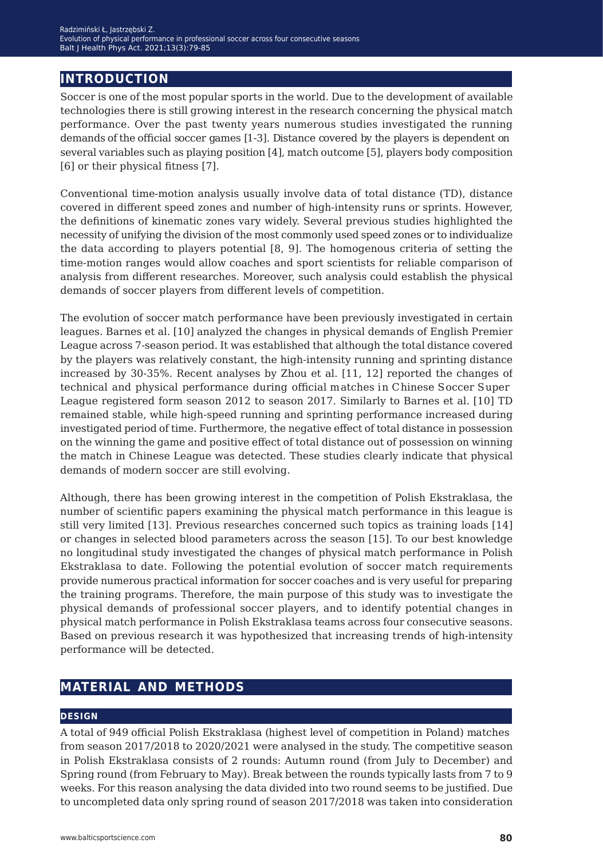## **introduction**

Soccer is one of the most popular sports in the world. Due to the development of available technologies there is still growing interest in the research concerning the physical match performance. Over the past twenty years numerous studies investigated the running demands of the official soccer games [1-3]. Distance covered by the players is dependent on several variables such as playing position  $[4]$ , match outcome  $[5]$ , players body composition [6] or their physical fitness [7].

Conventional time-motion analysis usually involve data of total distance (TD), distance covered in different speed zones and number of high-intensity runs or sprints. However, the definitions of kinematic zones vary widely. Several previous studies highlighted the necessity of unifying the division of the most commonly used speed zones or to individualize the data according to players potential[8, 9]. The homogenous criteria of setting the time-motion ranges would allow coaches and sport scientists for reliable comparison of analysis from different researches. Moreover, such analysis could establish the physical demands of soccer players from different levels of competition.

The evolution of soccer match performance have been previously investigated in certain leagues. Barnes et al.[10] analyzed the changes in physical demands of English Premier League across 7-season period. It was established that although the total distance covered by the players was relatively constant, the high-intensity running and sprinting distance increased by 30-35%. Recent analyses by Zhou et al.[11, 12] reported the changes of technical and physical performance during official matches in Chinese Soccer Super League registered form season 2012 to season 2017. Similarly to Barnes et al.[10] TD remained stable, while high-speed running and sprinting performance increased during investigated period of time. Furthermore, the negative effect of total distance in possession on the winning the game and positive effect of total distance out of possession on winning the match in Chinese League was detected. These studies clearly indicate that physical demands of modern soccer are still evolving.

Although, there has been growing interest in the competition of Polish Ekstraklasa, the number of scientific papers examining the physical match performance in this league is still very limited [13]. Previous researches concerned such topics as trainingloads [14] or changes in selected blood parameters across the season [15]. To our best knowledge no longitudinal study investigated the changes of physical match performance in Polish Ekstraklasa to date. Following the potential evolution of soccer match requirements provide numerous practical information for soccer coaches and is very useful for preparing the training programs. Therefore, the main purpose of this study was to investigate the physical demands of professional soccer players, and to identify potential changes in physical match performance in Polish Ekstraklasa teams across four consecutive seasons. Based on previous research it was hypothesized that increasing trends of high-intensity performance will be detected.

## **material and methods**

### **design**

A total of 949 official Polish Ekstraklasa (highest level of competition in Poland) matches from season 2017/2018 to 2020/2021 were analysed in the study. The competitive season in Polish Ekstraklasa consists of 2 rounds: Autumn round (from July to December) and Spring round (from February to May). Break between the rounds typically lasts from 7 to 9 weeks. For this reason analysing the data divided into two round seems to be justified. Due to uncompleted data only spring round of season 2017/2018 was taken into consideration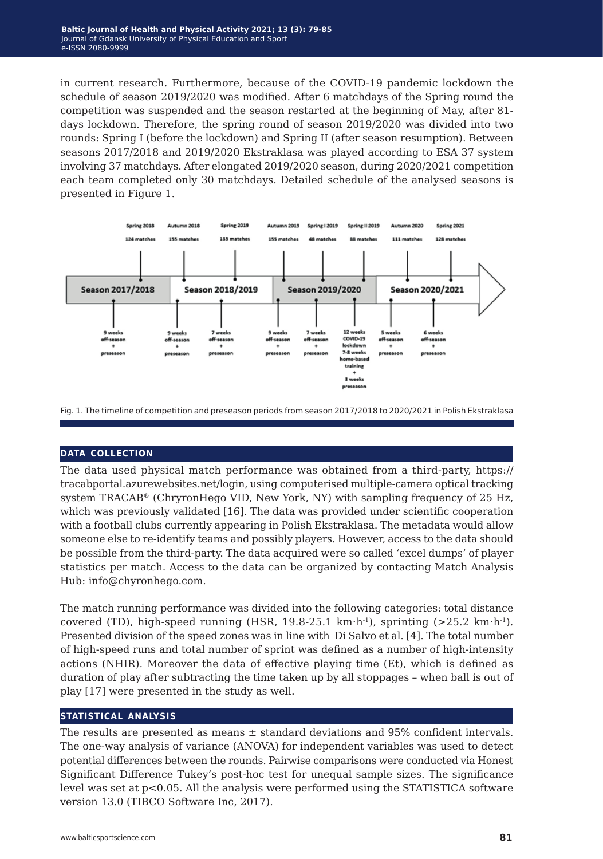in current research. Furthermore, because of the COVID-19 pandemic lockdown the schedule of season 2019/2020 was modified. After 6 matchdays of the Spring round the competition was suspended and the season restarted at the beginning of May, after 81days lockdown. Therefore, the spring round of season 2019/2020 was divided into two rounds: Spring I (before the lockdown) and Spring II (after season resumption). Between seasons 2017/2018 and 2019/2020 Ekstraklasa was played according to ESA 37 system involving37 matchdays. After elongated 2019/2020 season, during 2020/2021 competition each team completed only 30 matchdays. Detailed schedule of the analysed seasons is presented in Figure 1.



Fig. 1. The timeline of competition and preseason periods from season 2017/2018 to 2020/2021 in Polish Ekstraklasa

### **data collection**

The data used physical match performance was obtained from a third-party, https:// tracabportal.azurewebsites.net/login, usingcomputerised multiple-camera optical tracking system TRACAB® (ChryronHego VID, New York, NY) with sampling frequency of 25 Hz, which was previously validated [16]. The data was provided under scientific cooperation with a football clubs currently appearing in Polish Ekstraklasa. The metadata would allow someone else to re-identify teams and possiblyplayers. However, access to the data should be possible from the third-party. The data acquired were so called 'excel dumps' of player statistics per match. Access to the data can be organized by contacting Match Analysis Hub: info@chyronhego.com.

The match running performance was divided into the following categories: total distance covered (TD), high-speed running (HSR, 19.8-25.1 km⋅h<sup>-1</sup>), sprinting (>25.2 km⋅h<sup>-1</sup>). Presented division of the speed zones was in line with Di Salvo et al.[4]. The total number of high-speed runs and total number of sprint was defined as a number of high-intensity actions (NHIR). Moreover the data of effective playing time (Et), which is defined as duration of play after subtracting the time taken up by all stoppages - when ball is out of play[17] were presented in the study as well.

#### **statistical analysis**

The results are presented as means  $\pm$  standard deviations and 95% confident intervals. The one-way analysis of variance (ANOVA) for independent variables was used to detect potential differences between the rounds. Pairwise comparisons were conducted via Honest Significant Difference Tukey's post-hoc test for unequal sample sizes. The significance level was set at p<0.05. All the analysis were performed using the STATISTICA software version 13.0 (TIBCO Software Inc, 2017).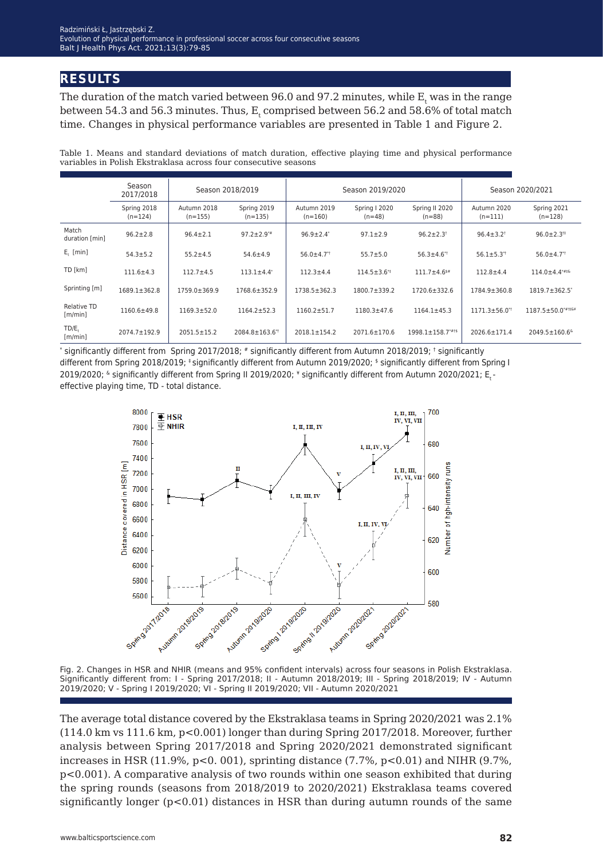## **results**

The duration of the match varied between 96.0 and 97.2 minutes, while  $\boldsymbol{\text{E}}_{_{\text{t}}}$  was in the range between 54.3 and 56.3 minutes. Thus,  $E_{t}$  comprised between 56.2 and 58.6% of total match time. Changes in physical performance variables are presented in Table 1 and Figure 2.

Table 1. Means and standard deviations of match duration, effective playing time and physical performance variables in Polish Ekstraklasa across four consecutive seasons

|                         | Season<br>2017/2018      | Season 2018/2019         |                              | Season 2019/2020             |                               |                                | Season 2020/2021               |                               |
|-------------------------|--------------------------|--------------------------|------------------------------|------------------------------|-------------------------------|--------------------------------|--------------------------------|-------------------------------|
|                         | Spring 2018<br>$(n=124)$ | Autumn 2018<br>$(n=155)$ | Spring 2019<br>$(n=135)$     | Autumn 2019<br>$(n=160)$     | Spring I 2020<br>$(n=48)$     | Spring II 2020<br>$(n=88)$     | Autumn 2020<br>$(n=111)$       | Spring 2021<br>$(n=128)$      |
| Match<br>duration [min] | $96.2 \pm 2.8$           | $96.4 \pm 2.1$           | $97.2 \pm 2.9**$             | $96.9 \pm 2.4$ <sup>*</sup>  | $97.1 \pm 2.9$                | $96.2 \pm 2.3$ <sup>†</sup>    | $96.4 \pm 3.2$ <sup>†</sup>    | $96.0 \pm 2.3$ <sup>#</sup>   |
| $E_{1}$ [min]           | $54.3 \pm 5.2$           | $55.2 \pm 4.5$           | $54.6 \pm 4.9$               | $56.0 \pm 4.7$ <sup>**</sup> | $55.7 \pm 5.0$                | $56.3 \pm 4.6$ <sup>**</sup>   | $56.1 \pm 5.3$ <sup>*†</sup>   | $56.0 \pm 4.7$ <sup>**</sup>  |
| TD [km]                 | $111.6 \pm 4.3$          | $112.7 \pm 4.5$          | $113.1 \pm 4.4$ <sup>*</sup> | $112.3 \pm 4.4$              | $114.5 \pm 3.6$ <sup>**</sup> | $111.7 \pm 4.6$ <sup>\$#</sup> | $112.8 + 4.4$                  | $114.0 \pm 4.4***$            |
| Sprinting [m]           | $1689.1 \pm 362.8$       | 1759.0±369.9             | $1768.6 \pm 352.9$           | $1738.5 \pm 362.3$           | $1800.7 + 339.2$              | $1720.6 \pm 332.6$             | 1784.9±360.8                   | 1819.7±362.5*                 |
| Relative TD<br>[m/min]  | $1160.6 \pm 49.8$        | $1169.3 \pm 52.0$        | $1164.2 + 52.3$              | $1160.2 \pm 51.7$            | $1180.3 \pm 47.6$             | $1164.1 \pm 45.3$              | $1171.3 \pm 56.0$ <sup>*</sup> | 1187.5±50.0*##&¥              |
| TD/E.<br>[m/min]        | $2074.7 \pm 192.9$       | $2051.5 \pm 15.2$        | 2084.8±163.6*                | $2018.1 \pm 154.2$           | 2071.6±170.6                  | $1998.1 \pm 158.7$ ****        | 2026.6±171.4                   | 2049.5±160.6 <sup>&amp;</sup> |

\* significantly different from Spring 2017/2018; # significantly different from Autumn 2018/2019; † significantly different from Spring 2018/2019; ‡ significantly different from Autumn 2019/2020; \$ significantly different from Spring I 2019/2020; <sup>&</sup> significantly different from Spring II 2019/2020; \* significantly different from Autumn 2020/2021; E<sub>r</sub> effective playing time, TD - total distance.



Fig. 2. Changes in HSR and NHIR (means and 95% confident intervals) across four seasons in Polish Ekstraklasa. Significantly different from: I - Spring 2017/2018; II - Autumn 2018/2019; III - Spring 2018/2019; IV - Autumn 2019/2020; V - Spring I 2019/2020; VI - Spring II 2019/2020; VII - Autumn 2020/2021

The average total distance covered by the Ekstraklasa teams in Spring 2020/2021 was 2.1% (114.0 km vs 111.6 km, p<0.001) longer than during Spring 2017/2018. Moreover, further analysis between Spring 2017/2018 and Spring 2020/2021 demonstrated significant increases in HSR (11.9%,  $p<0.001$ ), sprinting distance (7.7%,  $p<0.01$ ) and NIHR (9.7%, p<0.001). A comparative analysis of two rounds within one season exhibited that during the spring rounds (seasons from 2018/2019 to 2020/2021) Ekstraklasa teams covered significantly longer  $(p<0.01)$  distances in HSR than during autumn rounds of the same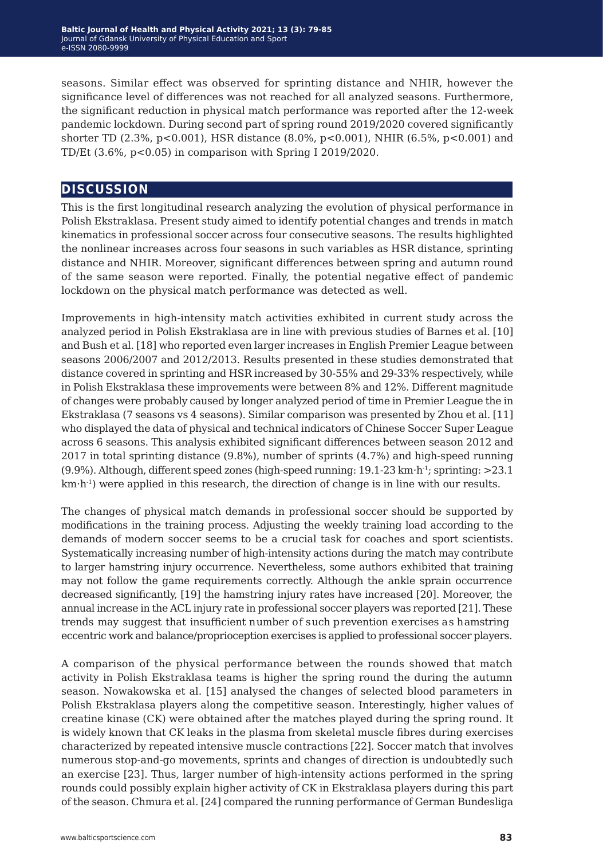seasons. Similar effect was observed for sprinting distance and NHIR, however the significance level of differences was not reached for all analyzed seasons. Furthermore, the significant reduction in physical match performance was reported after the 12-week pandemic lockdown. During second part of spring round 2019/2020 covered significantly shorter TD (2.3%, p<0.001), HSR distance (8.0%, p<0.001), NHIR (6.5%, p<0.001) and TD/Et (3.6%, p<0.05) in comparison with Spring I 2019/2020.

## **discussion**

This is the first longitudinal research analyzing the evolution of physical performance in Polish Ekstraklasa. Present study aimed to identifypotential changes and trends in match kinematics in professional soccer across four consecutive seasons. The results highlighted the nonlinear increases across four seasons in such variables as HSR distance, sprinting distance and NHIR. Moreover, significant differences between spring and autumn round of the same season were reported. Finally, the potential negative effect of pandemic lockdown on the physical match performance was detected as well.

Improvements in high-intensity match activities exhibited in current study across the analyzed period in Polish Ekstraklasa are in line with previous studies of Barnes et al.[10] and Bush et al.[18] who reported even larger increases in English Premier League between seasons 2006/2007 and 2012/2013. Results presented in these studies demonstrated that distance covered in sprinting and HSR increased by 30-55% and 29-33% respectively, while in Polish Ekstraklasa these improvements were between 8% and 12%. Different magnitude of changes were probably caused by longer analyzed period of time in Premier League the in Ekstraklasa (7 seasons vs 4 seasons). Similar comparison was presented by Zhou et al.[11] who displayed the data of physical and technical indicators of Chinese Soccer Super League across 6 seasons. This analysis exhibited significant differences between season 2012 and 2017 in total sprinting distance (9.8%), number of sprints (4.7%) and high-speed running (9.9%). Although, different speed zones (high-speed running: 19.1-23 km⋅h-1; sprinting: >23.1 km⋅h<sup>-1</sup>) were applied in this research, the direction of change is in line with our results.

The changes of physical match demands in professional soccer should be supported by modifications in the training process. Adjusting the weekly training load according to the demands of modern soccer seems to be a crucial task for coaches and sport scientists. Systematically increasing number of high-intensity actions during the match may contribute to larger hamstring injury occurrence. Nevertheless, some authors exhibited that training may not follow the game requirements correctly. Although the ankle sprain occurrence decreased significantly, [19] the hamstringinjury rates have increased [20]. Moreover, the annual increase in the ACL injury rate in professional soccer players was reported [21]. These trends may suggest that insufficient number of such prevention exercises as hamstring eccentric work and balance/proprioception exercises is applied to professional soccerplayers.

A comparison of the physical performance between the rounds showed that match activity in Polish Ekstraklasa teams is higher the spring round the during the autumn season. Nowakowska et al.[15] analysed the changes of selected blood parameters in Polish Ekstraklasa players along the competitive season. Interestingly, higher values of creatine kinase (CK) were obtained after the matches played during the springround. It is widely known that CK leaks in the plasma from skeletal muscle fibres during exercises characterized by repeated intensive muscle contractions [22]. Soccer match that involves numerous stop-and-go movements, sprints and changes of direction is undoubtedly such an exercise [23]. Thus, larger number of high-intensity actions performed in the spring rounds could possibly explain higher activity of CK in Ekstraklasa players during this part of the season. Chmura et al.[24] compared the runningperformance of German Bundesliga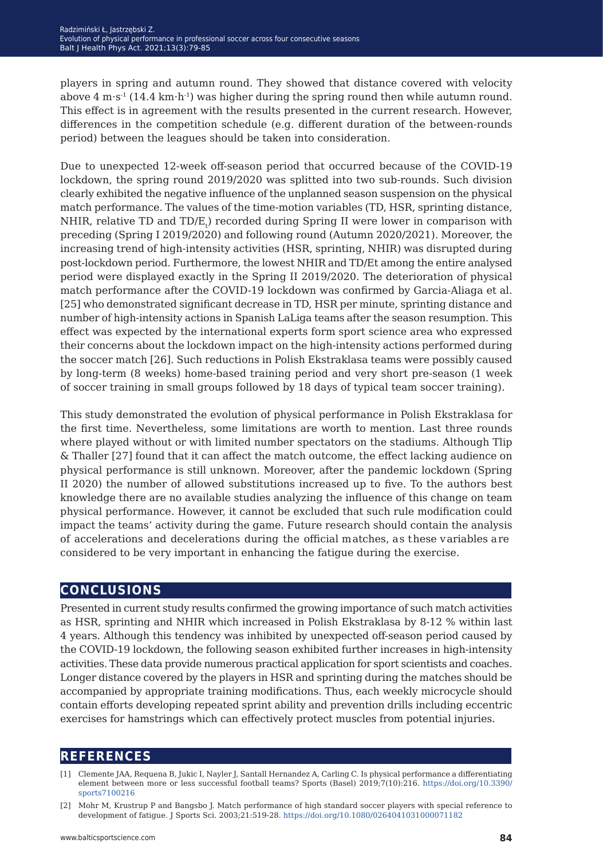players in spring and autumn round. They showed that distance covered with velocity above 4 m⋅s<sup>-1</sup> (14.4 km⋅h<sup>-1</sup>) was higher during the spring round then while autumn round. This effect is in agreement with the results presented in the current research. However, differences in the competition schedule (e.g. different duration of the between-rounds period) between the leagues should be taken into consideration.

Due to unexpected 12-week off-season period that occurred because of the COVID-19 lockdown, the spring round 2019/2020 was splitted into two sub-rounds. Such division clearly exhibited the negative influence of the unplanned season suspension on the physical match performance. The values of the time-motion variables (TD, HSR, sprinting distance, NHIR, relative TD and TD/E<sub>t</sub>) recorded during Spring II were lower in comparison with preceding (Spring I 2019/2020) and followinground (Autumn 2020/2021). Moreover, the increasing trend of high-intensity activities (HSR, sprinting, NHIR) was disrupted during post-lockdown period. Furthermore, the lowest NHIR and TD/Et among the entire analysed period were displayed exactly in the Spring II 2019/2020. The deterioration of physical match performance after the COVID-19 lockdown was confirmed by Garcia-Aliaga et al. [25] who demonstrated significant decrease in TD, HSR per minute, sprinting distance and number of high-intensity actions in Spanish LaLiga teams after the season resumption. This effect was expected by the international experts form sport science area who expressed their concerns about the lockdown impact on the high-intensity actions performed during the soccer match [26]. Such reductions in Polish Ekstraklasa teams were possibly caused by long-term (8 weeks) home-based training period and very short pre-season (1 week of soccer training in small groups followed by 18 days of typical team soccer training).

This study demonstrated the evolution of physical performance in Polish Ekstraklasa for the first time. Nevertheless, some limitations are worth to mention. Last three rounds where played without or with limited number spectators on the stadiums. Although Tlip & Thaller[27] found that it can affect the match outcome, the effect lacking audience on physical performance is still unknown. Moreover, after the pandemic lockdown (Spring II 2020) the number of allowed substitutions increased up to five. To the authors best knowledge there are no available studies analyzing the influence of this change on team physical performance. However, it cannot be excluded that such rule modification could impact the teams' activity during the game. Future research should contain the analysis of accelerations and decelerations during the official matches, as these variables are considered to be very important in enhancing the fatigue during the exercise.

## **conclusions**

Presented in current study results confirmed the growingimportance of such match activities as HSR, sprinting and NHIR which increased in Polish Ekstraklasa by 8-12 % within last 4 years. Although this tendency was inhibited by unexpected off-season period caused by the COVID-19 lockdown, the following season exhibited further increases in high-intensity activities. These data provide numerous practical application for sport scientists and coaches. Longer distance covered by the players in HSR and sprinting during the matches should be accompanied by appropriate training modifications. Thus, each weekly microcycle should contain efforts developing repeated sprint ability and prevention drills including eccentric exercises for hamstrings which can effectively protect muscles from potential injuries.

## **references**

- [1] Clemente JAA, Requena B, Jukic I, Nayler J, Santall Hernandez A, Carling C. Is physicalperformance a differentiating element between more or less successful football teams? Sports (Basel) 2019;7(10):216. [https://doi.org/10.3390/](https://doi.org/10.3390/sports7100216) [sports7100216](https://doi.org/10.3390/sports7100216)
- [2] Mohr M, Krustrup P and Bangsbo J. Match performance of high standard soccer players with special reference to development of fatigue. J Sports Sci. 2003;21:519-28. <https://doi.org/10.1080/0264041031000071182>